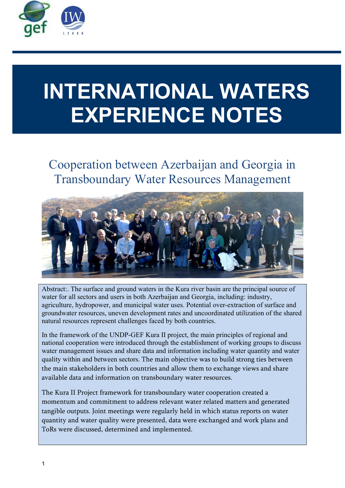

# INTERNATIONAL WATERS EXPERIENCE NOTES

Cooperation between Azerbaijan and Georgia in Transboundary Water Resources Management



Abstract:. The surface and ground waters in the Kura river basin are the principal source of water for all sectors and users in both Azerbaijan and Georgia, including: industry, agriculture, hydropower, and municipal water uses. Potential over-extraction of surface and groundwater resources, uneven development rates and uncoordinated utilization of the shared natural resources represent challenges faced by both countries.

In the framework of the UNDP-GEF Kura II project, the main principles of regional and national cooperation were introduced through the establishment of working groups to discuss water management issues and share data and information including water quantity and water quality within and between sectors. The main objective was to build strong ties between the main stakeholders in both countries and allow them to exchange views and share available data and information on transboundary water resources.

The Kura II Project framework for transboundary water cooperation created a momentum and commitment to address relevant water related matters and generated tangible outputs. Joint meetings were regularly held in which status reports on water quantity and water quality were presented, data were exchanged and work plans and ToRs were discussed, determined and implemented.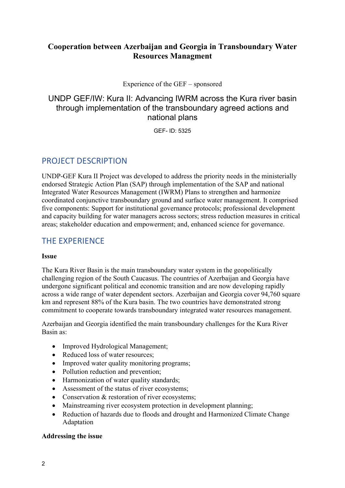## Cooperation between Azerbaijan and Georgia in Transboundary Water Resources Managment

Experience of the GEF – sponsored

## UNDP GEF/IW: Kura II: Advancing IWRM across the Kura river basin through implementation of the transboundary agreed actions and national plans

GEF- ID: 5325

# PROJECT DESCRIPTION

UNDP-GEF Kura II Project was developed to address the priority needs in the ministerially endorsed Strategic Action Plan (SAP) through implementation of the SAP and national Integrated Water Resources Management (IWRM) Plans to strengthen and harmonize coordinated conjunctive transboundary ground and surface water management. It comprised five components: Support for institutional governance protocols; professional development and capacity building for water managers across sectors; stress reduction measures in critical areas; stakeholder education and empowerment; and, enhanced science for governance.

# THE EXPERIENCE

#### Issue

The Kura River Basin is the main transboundary water system in the geopolitically challenging region of the South Caucasus. The countries of Azerbaijan and Georgia have undergone significant political and economic transition and are now developing rapidly across a wide range of water dependent sectors. Azerbaijan and Georgia cover 94,760 square km and represent 88% of the Kura basin. The two countries have demonstrated strong commitment to cooperate towards transboundary integrated water resources management.

Azerbaijan and Georgia identified the main transboundary challenges for the Kura River Basin as:

- Improved Hydrological Management;
- Reduced loss of water resources;
- Improved water quality monitoring programs;
- Pollution reduction and prevention;
- Harmonization of water quality standards;
- Assessment of the status of river ecosystems;
- Conservation & restoration of river ecosystems;
- Mainstreaming river ecosystem protection in development planning;
- Reduction of hazards due to floods and drought and Harmonized Climate Change Adaptation

#### Addressing the issue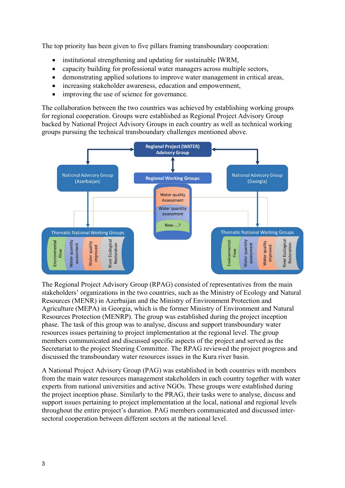The top priority has been given to five pillars framing transboundary cooperation:

- institutional strengthening and updating for sustainable IWRM,
- capacity building for professional water managers across multiple sectors,
- demonstrating applied solutions to improve water management in critical areas,
- increasing stakeholder awareness, education and empowerment,
- improving the use of science for governance.

The collaboration between the two countries was achieved by establishing working groups for regional cooperation. Groups were established as Regional Project Advisory Group backed by National Project Advisory Groups in each country as well as technical working groups pursuing the technical transboundary challenges mentioned above.



The Regional Project Advisory Group (RPAG) consisted of representatives from the main stakeholders' organizations in the two countries, such as the Ministry of Ecology and Natural Resources (MENR) in Azerbaijan and the Ministry of Environment Protection and Agriculture (MEPA) in Georgia, which is the former Ministry of Environment and Natural Resources Protection (MENRP). The group was established during the project inception phase. The task of this group was to analyse, discuss and support transboundary water resources issues pertaining to project implementation at the regional level. The group members communicated and discussed specific aspects of the project and served as the Secretariat to the project Steering Committee. The RPAG reviewed the project progress and discussed the transboundary water resources issues in the Kura river basin.

A National Project Advisory Group (PAG) was established in both countries with members from the main water resources management stakeholders in each country together with water experts from national universities and active NGOs. These groups were established during the project inception phase. Similarly to the PRAG, their tasks were to analyse, discuss and support issues pertaining to project implementation at the local, national and regional levels throughout the entire project's duration. PAG members communicated and discussed intersectoral cooperation between different sectors at the national level.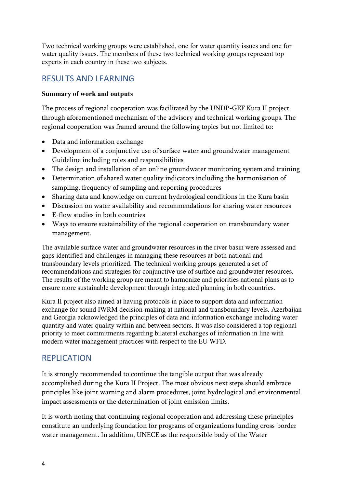Two technical working groups were established, one for water quantity issues and one for water quality issues. The members of these two technical working groups represent top experts in each country in these two subjects.

# RESULTS AND LEARNING

#### Summary of work and outputs

The process of regional cooperation was facilitated by the UNDP-GEF Kura II project through aforementioned mechanism of the advisory and technical working groups. The regional cooperation was framed around the following topics but not limited to:

- Data and information exchange
- Development of a conjunctive use of surface water and groundwater management Guideline including roles and responsibilities
- The design and installation of an online groundwater monitoring system and training
- Determination of shared water quality indicators including the harmonisation of sampling, frequency of sampling and reporting procedures
- Sharing data and knowledge on current hydrological conditions in the Kura basin
- Discussion on water availability and recommendations for sharing water resources
- E-flow studies in both countries
- Ways to ensure sustainability of the regional cooperation on transboundary water management.

The available surface water and groundwater resources in the river basin were assessed and gaps identified and challenges in managing these resources at both national and transboundary levels prioritized. The technical working groups generated a set of recommendations and strategies for conjunctive use of surface and groundwater resources. The results of the working group are meant to harmonize and priorities national plans as to ensure more sustainable development through integrated planning in both countries.

Kura II project also aimed at having protocols in place to support data and information exchange for sound IWRM decision-making at national and transboundary levels. Azerbaijan and Georgia acknowledged the principles of data and information exchange including water quantity and water quality within and between sectors. It was also considered a top regional priority to meet commitments regarding bilateral exchanges of information in line with modern water management practices with respect to the EU WFD.

## **REPLICATION**

It is strongly recommended to continue the tangible output that was already accomplished during the Kura II Project. The most obvious next steps should embrace principles like joint warning and alarm procedures, joint hydrological and environmental impact assessments or the determination of joint emission limits.

It is worth noting that continuing regional cooperation and addressing these principles constitute an underlying foundation for programs of organizations funding cross-border water management. In addition, UNECE as the responsible body of the Water